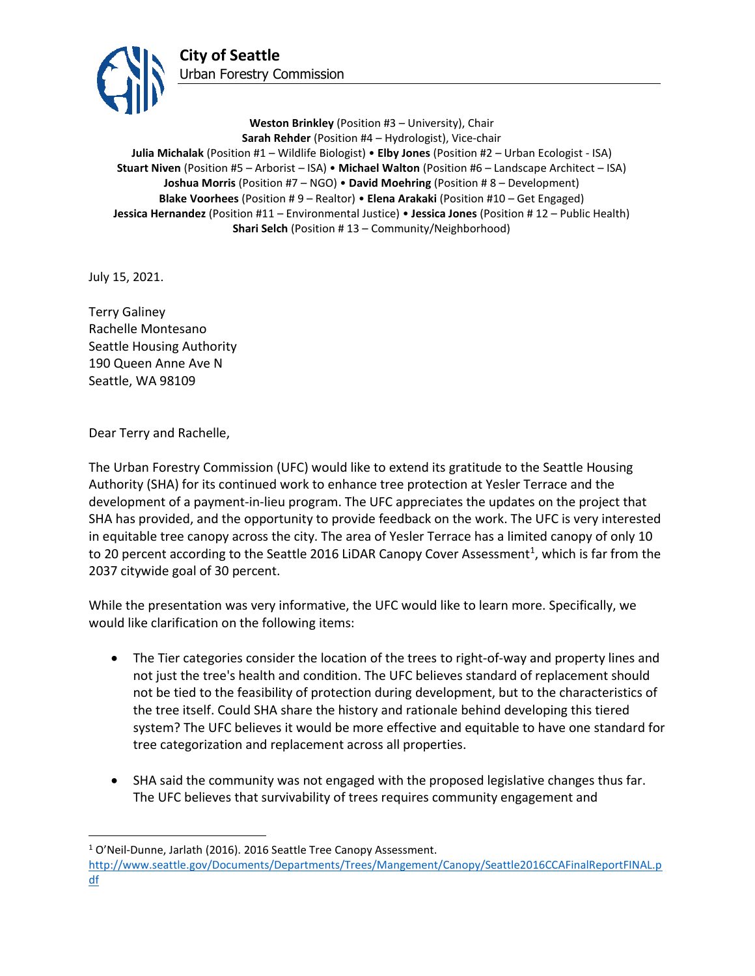

**Weston Brinkley** (Position #3 – University), Chair **Sarah Rehder** (Position #4 – Hydrologist), Vice-chair **Julia Michalak** (Position #1 – Wildlife Biologist) • **Elby Jones** (Position #2 – Urban Ecologist - ISA) **Stuart Niven** (Position #5 – Arborist – ISA) • **Michael Walton** (Position #6 – Landscape Architect – ISA) **Joshua Morris** (Position #7 – NGO) • **David Moehring** (Position # 8 – Development) **Blake Voorhees** (Position # 9 – Realtor) • **Elena Arakaki** (Position #10 – Get Engaged) **Jessica Hernandez** (Position #11 – Environmental Justice) • **Jessica Jones** (Position # 12 – Public Health) **Shari Selch** (Position #13 – Community/Neighborhood)

July 15, 2021.

Terry Galiney Rachelle Montesano Seattle Housing Authority [190 Queen Anne Ave N](https://www.google.com/maps/place/190+Queen+Anne+Ave+N,+Seattle,+WA+98109/@47.618891,-122.355904,16z/data=!4m5!3m4!1s0x549015452f82c1d9:0x34c6b866c2dbcdfd!8m2!3d47.61947!4d-122.3563757?hl=en-US) Seattle, WA 98109

Dear Terry and Rachelle,

The Urban Forestry Commission (UFC) would like to extend its gratitude to the Seattle Housing Authority (SHA) for its continued work to enhance tree protection at Yesler Terrace and the development of a payment-in-lieu program. The UFC appreciates the updates on the project that SHA has provided, and the opportunity to provide feedback on the work. The UFC is very interested in equitable tree canopy across the city. The area of Yesler Terrace has a limited canopy of only 10 to 20 percent according to the Seattle 2016 LiDAR Canopy Cover Assessment<sup>1</sup>, which is far from the 2037 citywide goal of 30 percent.

While the presentation was very informative, the UFC would like to learn more. Specifically, we would like clarification on the following items:

- The Tier categories consider the location of the trees to right-of-way and property lines and not just the tree's health and condition. The UFC believes standard of replacement should not be tied to the feasibility of protection during development, but to the characteristics of the tree itself. Could SHA share the history and rationale behind developing this tiered system? The UFC believes it would be more effective and equitable to have one standard for tree categorization and replacement across all properties.
- SHA said the community was not engaged with the proposed legislative changes thus far. The UFC believes that survivability of trees requires community engagement and

<sup>&</sup>lt;sup>1</sup> O'Neil-Dunne, Jarlath (2016). 2016 Seattle Tree Canopy Assessment. [http://www.seattle.gov/Documents/Departments/Trees/Mangement/Canopy/Seattle2016CCAFinalReportFINAL.p](http://www.seattle.gov/Documents/Departments/Trees/Mangement/Canopy/Seattle2016CCAFinalReportFINAL.pdf)